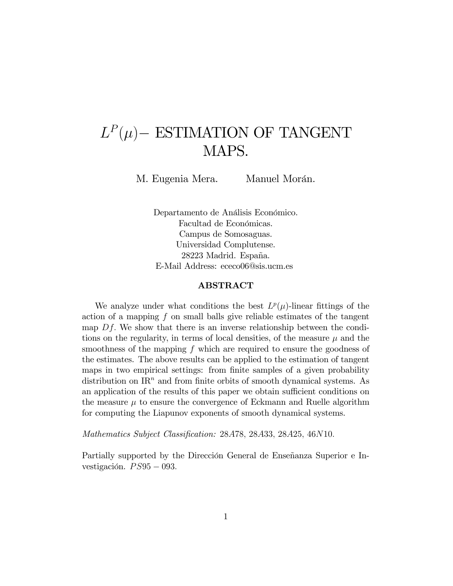# $L^P(\mu)$  – ESTIMATION OF TANGENT MAPS.

M. Eugenia Mera. Manuel Morán.

Departamento de Análisis Económico. Facultad de Económicas. Campus de Somosaguas. Universidad Complutense. 28223 Madrid. España. E-Mail Address: ececo06@sis.ucm.es

### ABSTRACT

We analyze under what conditions the best  $L^p(\mu)$ -linear fittings of the action of a mapping f on small balls give reliable estimates of the tangent map  $Df$ . We show that there is an inverse relationship between the conditions on the regularity, in terms of local densities, of the measure  $\mu$  and the smoothness of the mapping f which are required to ensure the goodness of the estimates. The above results can be applied to the estimation of tangent maps in two empirical settings: from finite samples of a given probability distribution on  $\mathbb{R}^n$  and from finite orbits of smooth dynamical systems. As an application of the results of this paper we obtain sufficient conditions on the measure  $\mu$  to ensure the convergence of Eckmann and Ruelle algorithm for computing the Liapunov exponents of smooth dynamical systems.

Mathematics Subject Classification: 28A78, 28A33, 28A25, 46N10.

Partially supported by the Dirección General de Enseñanza Superior e Investigación.  $PS95 - 093$ .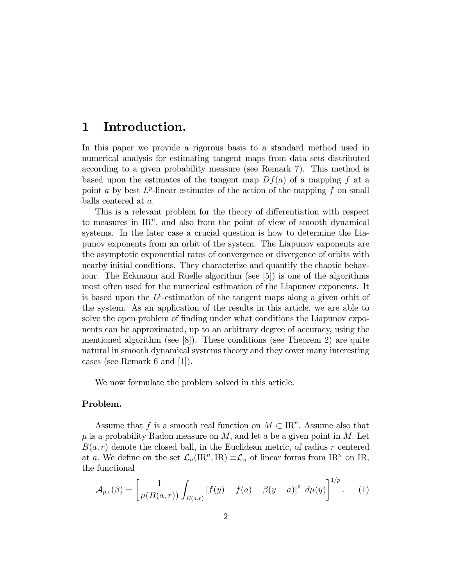### 1 Introduction.

In this paper we provide a rigorous basis to a standard method used in numerical analysis for estimating tangent maps from data sets distributed according to a given probability measure (see Remark 7). This method is based upon the estimates of the tangent map  $Df(a)$  of a mapping f at a point a by best  $L^p$ -linear estimates of the action of the mapping f on small balls centered at a.

This is a relevant problem for the theory of differentiation with respect to measures in  $\mathbb{R}^n$ , and also from the point of view of smooth dynamical systems. In the later case a crucial question is how to determine the Liapunov exponents from an orbit of the system. The Liapunov exponents are the asymptotic exponential rates of convergence or divergence of orbits with nearby initial conditions. They characterize and quantify the chaotic behaviour. The Eckmann and Ruelle algorithm (see [5]) is one of the algorithms most often used for the numerical estimation of the Liapunov exponents. It is based upon the  $L^p$ -estimation of the tangent maps along a given orbit of the system. As an application of the results in this article, we are able to solve the open problem of finding under what conditions the Liapunov exponents can be approximated, up to an arbitrary degree of accuracy, using the mentioned algorithm (see [8]). These conditions (see Theorem 2) are quite natural in smooth dynamical systems theory and they cover many interesting cases (see Remark 6 and [1]).

We now formulate the problem solved in this article.

### Problem.

Assume that f is a smooth real function on  $M \subset \mathbb{R}^n$ . Assume also that  $\mu$  is a probability Radon measure on M, and let a be a given point in M. Let  $B(a, r)$  denote the closed ball, in the Euclidean metric, of radius r centered at a. We define on the set  $\mathcal{L}_n(\mathrm{IR}^n,\mathrm{IR}) \equiv \mathcal{L}_n$  of linear forms from IR<sup>n</sup> on IR, the functional

$$
\mathcal{A}_{p,r}(\beta) = \left[ \frac{1}{\mu(B(a,r))} \int_{B(a,r)} |f(y) - f(a) - \beta(y-a)|^p \ d\mu(y) \right]^{1/p}.
$$
 (1)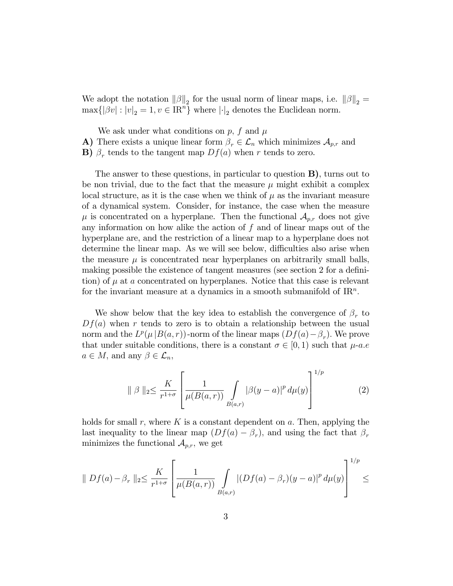We adopt the notation  $\|\beta\|_2$  for the usual norm of linear maps, i.e.  $\|\beta\|_2 =$  $\max\{|\beta v| : |v|_2 = 1, v \in \mathbb{R}^n\}$  where  $\left|\cdot\right|_2$  denotes the Euclidean norm.

We ask under what conditions on  $p$ ,  $f$  and  $\mu$ 

A) There exists a unique linear form  $\beta_r \in \mathcal{L}_n$  which minimizes  $\mathcal{A}_{p,r}$  and

**B**)  $\beta_r$  tends to the tangent map  $Df(a)$  when r tends to zero.

The answer to these questions, in particular to question B), turns out to be non trivial, due to the fact that the measure  $\mu$  might exhibit a complex local structure, as it is the case when we think of  $\mu$  as the invariant measure of a dynamical system. Consider, for instance, the case when the measure  $\mu$  is concentrated on a hyperplane. Then the functional  $\mathcal{A}_{p,r}$  does not give any information on how alike the action of  $f$  and of linear maps out of the hyperplane are, and the restriction of a linear map to a hyperplane does not determine the linear map. As we will see below, difficulties also arise when the measure  $\mu$  is concentrated near hyperplanes on arbitrarily small balls, making possible the existence of tangent measures (see section 2 for a definition) of  $\mu$  at a concentrated on hyperplanes. Notice that this case is relevant for the invariant measure at a dynamics in a smooth submanifold of  $\mathbb{R}^n$ .

We show below that the key idea to establish the convergence of  $\beta_r$  to  $Df(a)$  when r tends to zero is to obtain a relationship between the usual norm and the  $L^p(\mu|B(a,r))$ -norm of the linear maps  $(Df(a)-\beta_r)$ . We prove that under suitable conditions, there is a constant  $\sigma \in [0, 1)$  such that  $\mu$ -a.e.  $a \in M$ , and any  $\beta \in \mathcal{L}_n$ ,

$$
\| \beta \|_{2} \leq \frac{K}{r^{1+\sigma}} \left[ \frac{1}{\mu(B(a,r))} \int_{B(a,r)} |\beta(y-a)|^{p} d\mu(y) \right]^{1/p}
$$
(2)

holds for small r, where K is a constant dependent on a. Then, applying the last inequality to the linear map  $(Df(a) - \beta_r)$ , and using the fact that  $\beta_r$ minimizes the functional  $\mathcal{A}_{p,r}$ , we get

$$
\|Df(a) - \beta_r\|_2 \le \frac{K}{r^{1+\sigma}} \left[ \frac{1}{\mu(B(a,r))} \int\limits_{B(a,r)} |(Df(a) - \beta_r)(y-a)|^p d\mu(y) \right]^{1/p} \le
$$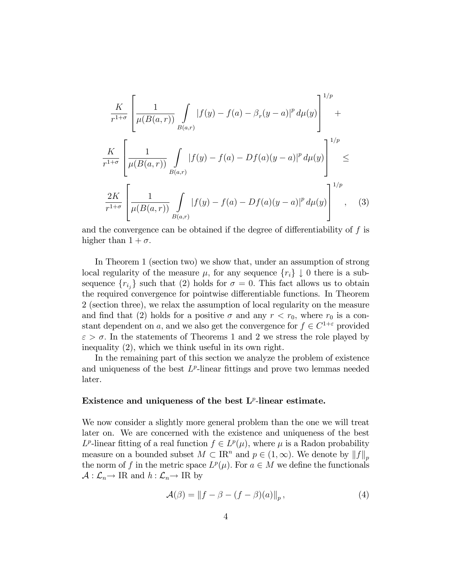$$
\frac{K}{r^{1+\sigma}} \left[ \frac{1}{\mu(B(a,r))} \int\limits_{B(a,r)} |f(y) - f(a) - \beta_r (y - a)|^p d\mu(y) \right]^{1/p} +
$$
\n
$$
\frac{K}{r^{1+\sigma}} \left[ \frac{1}{\mu(B(a,r))} \int\limits_{B(a,r)} |f(y) - f(a) - Df(a)(y - a)|^p d\mu(y) \right]^{1/p} \le
$$
\n
$$
\frac{2K}{r^{1+\sigma}} \left[ \frac{1}{\mu(B(a,r))} \int\limits_{B(a,r)} |f(y) - f(a) - Df(a)(y - a)|^p d\mu(y) \right]^{1/p}, \quad (3)
$$

and the convergence can be obtained if the degree of differentiability of  $f$  is higher than  $1 + \sigma$ .

In Theorem 1 (section two) we show that, under an assumption of strong local regularity of the measure  $\mu$ , for any sequence  $\{r_i\} \downarrow 0$  there is a subsequence  $\{r_{i_j}\}\$  such that (2) holds for  $\sigma = 0$ . This fact allows us to obtain the required convergence for pointwise differentiable functions. In Theorem 2 (section three), we relax the assumption of local regularity on the measure and find that (2) holds for a positive  $\sigma$  and any  $r < r_0$ , where  $r_0$  is a constant dependent on a, and we also get the convergence for  $f \in C^{1+\varepsilon}$  provided  $\varepsilon > \sigma$ . In the statements of Theorems 1 and 2 we stress the role played by inequality (2), which we think useful in its own right.

In the remaining part of this section we analyze the problem of existence and uniqueness of the best  $L^p$ -linear fittings and prove two lemmas needed later.

### Existence and uniqueness of the best  $L^p$ -linear estimate.

We now consider a slightly more general problem than the one we will treat later on. We are concerned with the existence and uniqueness of the best  $L^p$ -linear fitting of a real function  $f \in L^p(\mu)$ , where  $\mu$  is a Radon probability measure on a bounded subset  $M \subset \mathbb{R}^n$  and  $p \in (1,\infty)$ . We denote by  $||f||_p$ . the norm of f in the metric space  $L^p(\mu)$ . For  $a \in M$  we define the functionals  $\mathcal{A}: \mathcal{L}_n \to \text{IR}$  and  $h: \mathcal{L}_n \to \text{IR}$  by

$$
\mathcal{A}(\beta) = \|f - \beta - (f - \beta)(a)\|_p,\tag{4}
$$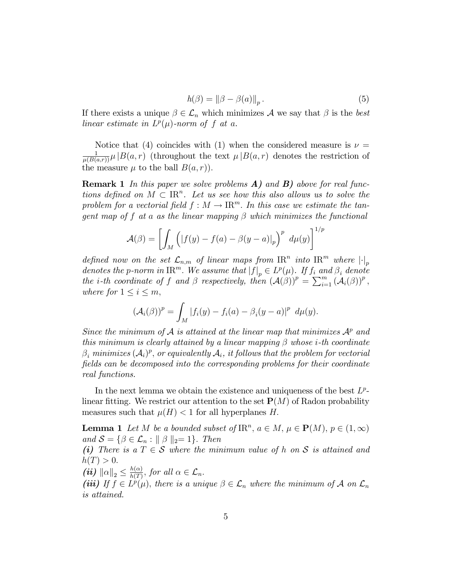$$
h(\beta) = \|\beta - \beta(a)\|_p. \tag{5}
$$

If there exists a unique  $\beta \in \mathcal{L}_n$  which minimizes A we say that  $\beta$  is the best linear estimate in  $L^p(\mu)$ -norm of f at a.

Notice that (4) coincides with (1) when the considered measure is  $\nu =$  $\frac{1}{\mu(B(a,r))}\mu|B(a,r)$  (throughout the text  $\mu|B(a,r)$  denotes the restriction of the measure  $\mu$  to the ball  $B(a, r)$ .

**Remark 1** In this paper we solve problems  $\bf{A}$ ) and  $\bf{B}$ ) above for real functions defined on  $M \subset \mathbb{R}^n$ . Let us see how this also allows us to solve the problem for a vectorial field  $f : M \to \mathbb{R}^m$ . In this case we estimate the tangent map of f at a as the linear mapping  $\beta$  which minimizes the functional

$$
\mathcal{A}(\beta) = \left[ \int_M \left( |f(y) - f(a) - \beta(y - a)|_p \right)^p d\mu(y) \right]^{1/p}
$$

defined now on the set  $\mathcal{L}_{n,m}$  of linear maps from  $\text{IR}^n$  into  $\text{IR}^m$  where  $\left| \cdot \right|_p$ denotes the p-norm in  $\text{IR}^m$ . We assume that  $|f|_p \in L^p(\mu)$ . If  $f_i$  and  $\beta_i$  denote the *i*-th coordinate of f and  $\beta$  respectively, then  $(\mathcal{A}(\beta))^p = \sum_{i=1}^m (\mathcal{A}_i(\beta))^p$ , where for  $1 \leq i \leq m$ ,

$$
(\mathcal{A}_i(\beta))^p = \int_M |f_i(y) - f_i(a) - \beta_i(y - a)|^p d\mu(y).
$$

Since the minimum of A is attained at the linear map that minimizes  $A^p$  and this minimum is clearly attained by a linear mapping  $\beta$  whose *i*-th coordinate  $\beta_i$  minimizes  $(\mathcal{A}_i)^p$ , or equivalently  $\mathcal{A}_i$ , it follows that the problem for vectorial fields can be decomposed into the corresponding problems for their coordinate real functions.

In the next lemma we obtain the existence and uniqueness of the best  $L^p$ linear fitting. We restrict our attention to the set  $\mathbf{P}(M)$  of Radon probability measures such that  $\mu(H) < 1$  for all hyperplanes H.

**Lemma 1** Let M be a bounded subset of  $\text{IR}^n$ ,  $a \in M$ ,  $\mu \in \mathbf{P}(M)$ ,  $p \in (1, \infty)$ and  $S = \{ \beta \in \mathcal{L}_n : || \beta ||_2 = 1 \}.$  Then

(i) There is a  $T \in \mathcal{S}$  where the minimum value of h on S is attained and  $h(T) > 0.$ 

(*ii*)  $\|\alpha\|_2 \leq \frac{h(\alpha)}{h(T)}$  $\frac{h(\alpha)}{h(T)}$ , for all  $\alpha \in \mathcal{L}_n$ .

(iii) If  $f \in L^p(\mu)$ , there is a unique  $\beta \in \mathcal{L}_n$  where the minimum of A on  $\mathcal{L}_n$ is attained.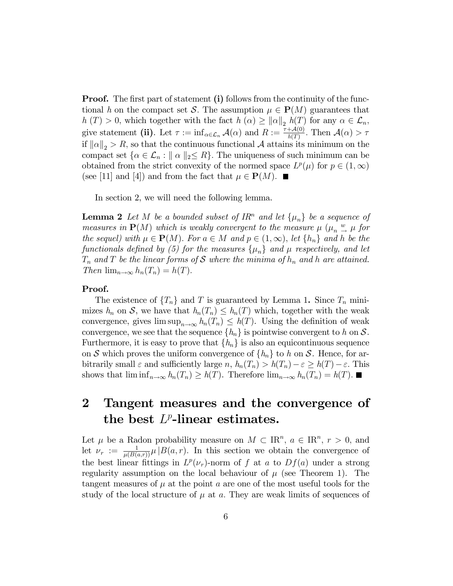**Proof.** The first part of statement (i) follows from the continuity of the functional h on the compact set S. The assumption  $\mu \in \mathbf{P}(M)$  guarantees that  $h(T) > 0$ , which together with the fact  $h(\alpha) \geq ||\alpha||_2 h(T)$  for any  $\alpha \in \mathcal{L}_n$ , give statement (ii). Let  $\tau := \inf_{\alpha \in \mathcal{L}_n} \mathcal{A}(\alpha)$  and  $R := \frac{\tau + \mathcal{A}(0)}{h(T)}$ . Then  $\mathcal{A}(\alpha) > \tau$ if  $\|\alpha\|_2 > R$ , so that the continuous functional A attains its minimum on the compact set  $\{\alpha \in \mathcal{L}_n : \|\alpha\|_2 \leq R\}$ . The uniqueness of such minimum can be obtained from the strict convexity of the normed space  $L^p(\mu)$  for  $p \in (1,\infty)$ (see [11] and [4]) and from the fact that  $\mu \in \mathbf{P}(M)$ .

In section 2, we will need the following lemma.

**Lemma 2** Let M be a bounded subset of IR<sup>n</sup> and let  $\{\mu_n\}$  be a sequence of measures in  $P(M)$  which is weakly convergent to the measure  $\mu$  ( $\mu_n \stackrel{w}{\rightarrow} \mu$  for the sequel) with  $\mu \in \mathbf{P}(M)$ . For  $a \in M$  and  $p \in (1,\infty)$ , let  $\{h_n\}$  and h be the functionals defined by (5) for the measures  $\{\mu_n\}$  and  $\mu$  respectively, and let  $T_n$  and T be the linear forms of S where the minima of  $h_n$  and h are attained. Then  $\lim_{n\to\infty} h_n(T_n) = h(T)$ .

### Proof.

The existence of  $\{T_n\}$  and T is guaranteed by Lemma 1. Since  $T_n$  minimizes  $h_n$  on S, we have that  $h_n(T_n) \leq h_n(T)$  which, together with the weak convergence, gives  $\limsup_{n\to\infty} h_n(T_n) \leq h(T)$ . Using the definition of weak convergence, we see that the sequence  $\{h_n\}$  is pointwise convergent to h on S. Furthermore, it is easy to prove that  $\{h_n\}$  is also an equicontinuous sequence on S which proves the uniform convergence of  $\{h_n\}$  to h on S. Hence, for arbitrarily small  $\varepsilon$  and sufficiently large  $n$ ,  $h_n(T_n) > h(T_n) - \varepsilon \ge h(T) - \varepsilon$ . This shows that  $\liminf_{n\to\infty} h_n(T_n) \geq h(T)$ . Therefore  $\lim_{n\to\infty} h_n(T_n) = h(T)$ .

## 2 Tangent measures and the convergence of the best  $L^p$ -linear estimates.

Let  $\mu$  be a Radon probability measure on  $M \subset \mathbb{R}^n$ ,  $a \in \mathbb{R}^n$ ,  $r > 0$ , and let  $\nu_r := \frac{1}{\mu(B(a,r))} \mu |B(a,r)|$ . In this section we obtain the convergence of the best linear fittings in  $L^p(\nu_r)$ -norm of f at a to  $Df(a)$  under a strong regularity assumption on the local behaviour of  $\mu$  (see Theorem 1). The tangent measures of  $\mu$  at the point a are one of the most useful tools for the study of the local structure of  $\mu$  at a. They are weak limits of sequences of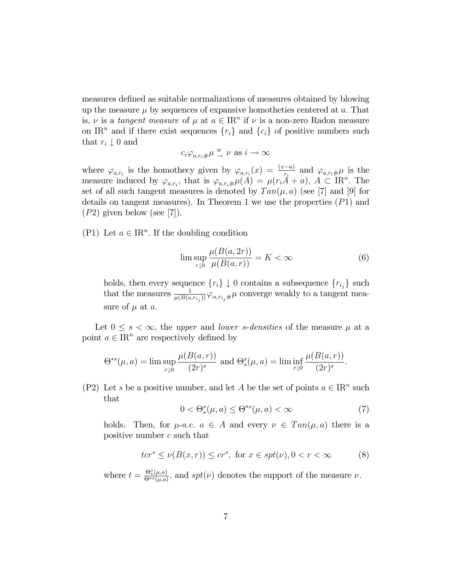measures defined as suitable normalizations of measures obtained by blowing up the measure  $\mu$  by sequences of expansive homotheties centered at  $a$ . That is,  $\nu$  is a tangent measure of  $\mu$  at  $a \in \mathbb{R}^n$  if  $\nu$  is a non-zero Radon measure on IR<sup>n</sup> and if there exist sequences  $\{r_i\}$  and  $\{c_i\}$  of positive numbers such that  $r_i \downarrow 0$  and

$$
c_i \varphi_{a,r_i \#} \mu \xrightarrow{w} \nu \text{ as } i \to \infty
$$

where  $\varphi_{a,r_i}$  is the homothecy given by  $\varphi_{a,r_i}(x) = \frac{(x-a)}{r_i}$  and  $\varphi_{a,r_i\#}\mu$  is the measure induced by  $\varphi_{a,r_i}$ , that is  $\varphi_{a,r_i\#}\mu(A) = \mu(r_i\ddot{A} + a), A \subset \text{IR}^n$ . The set of all such tangent measures is denoted by  $Tan(\mu, a)$  (see [7] and [9] for details on tangent measures). In Theorem 1 we use the properties  $(P1)$  and  $(P2)$  given below (see [7]).

(P1) Let  $a \in \mathbb{R}^n$ . If the doubling condition

$$
\limsup_{r \downarrow 0} \frac{\mu(B(a, 2r))}{\mu(B(a, r))} = K < \infty \tag{6}
$$

holds, then every sequence  $\{r_i\} \downarrow 0$  contains a subsequence  $\{r_{i_j}\}$  such that the measures  $\frac{1}{\mu(B(a,r_{i_j}))}\varphi_{\alpha,r_{i_j}\#}\mu$  converge weakly to a tangent measure of  $\mu$  at  $a$ .

Let  $0 \leq s < \infty$ , the upper and lower s-densities of the measure  $\mu$  at a point  $a \in \mathbb{R}^n$  are respectively defined by

$$
\Theta^{*s}(\mu, a) = \limsup_{r \downarrow 0} \frac{\mu(B(a, r))}{(2r)^s} \text{ and } \Theta^s_*(\mu, a) = \liminf_{r \downarrow 0} \frac{\mu(B(a, r))}{(2r)^s}.
$$

(P2) Let s be a positive number, and let A be the set of points  $a \in \mathbb{R}^n$  such that

$$
0 < \Theta_*^s(\mu, a) \le \Theta^{*s}(\mu, a) < \infty \tag{7}
$$

holds. Then, for  $\mu$ -a.e.  $a \in A$  and every  $\nu \in Tan(\mu, a)$  there is a positive number c such that

$$
tcrs \le \nu(B(x,r)) \le crs, \text{ for } x \in spt(\nu), 0 < r < \infty
$$
 (8)

where  $t = \frac{\Theta_*^s(\mu, a)}{\Theta^{*s}(\mu, a)}$  $\frac{\Theta^{\omega}_{\ast}(\mu,a)}{\Theta^{ss}(\mu,a)}$ , and  $spt(\nu)$  denotes the support of the measure  $\nu$ .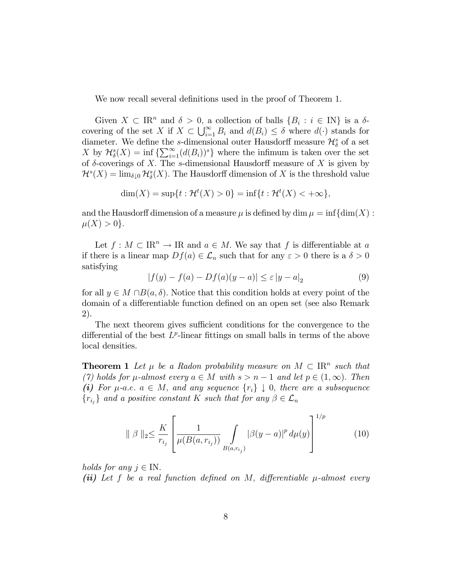We now recall several definitions used in the proof of Theorem 1.

Given  $X \subset \mathbb{R}^n$  and  $\delta > 0$ , a collection of balls  $\{B_i : i \in \mathbb{N}\}\$ is a  $\delta$ covering of the set X if  $X \subset \bigcup_{i=1}^{\infty} B_i$  and  $d(B_i) \leq \delta$  where  $d(\cdot)$  stands for diameter. We define the s-dimensional outer Hausdorff measure  $\mathcal{H}_{\delta}^{s}$  of a set X by  $\mathcal{H}_{\delta}^{s}(X) = \inf \left\{ \sum_{i=1}^{\infty} (d(B_i))^s \right\}$  where the infimum is taken over the set of  $\delta$ -coverings of X. The s-dimensional Hausdorff measure of X is given by  $\mathcal{H}^s(X) = \lim_{\delta \downarrow 0} \mathcal{H}^s_{\delta}(X)$ . The Hausdorff dimension of X is the threshold value

$$
\dim(X) = \sup\{t : \mathcal{H}^t(X) > 0\} = \inf\{t : \mathcal{H}^t(X) < +\infty\},\
$$

and the Hausdorff dimension of a measure  $\mu$  is defined by dim  $\mu = \inf \{ \dim(X) :$  $\mu(X) > 0$ .

Let  $f : M \subset \mathbb{R}^n \to \mathbb{R}$  and  $a \in M$ . We say that f is differentiable at a if there is a linear map  $Df(a) \in \mathcal{L}_n$  such that for any  $\varepsilon > 0$  there is a  $\delta > 0$ satisfying

$$
|f(y) - f(a) - Df(a)(y - a)| \le \varepsilon |y - a|_2 \tag{9}
$$

for all  $y \in M \cap B(a, \delta)$ . Notice that this condition holds at every point of the domain of a differentiable function defined on an open set (see also Remark 2).

The next theorem gives sufficient conditions for the convergence to the differential of the best  $L^p$ -linear fittings on small balls in terms of the above local densities.

**Theorem 1** Let  $\mu$  be a Radon probability measure on  $M \subset \mathbb{R}^n$  such that (7) holds for  $\mu$ -almost every  $a \in M$  with  $s > n - 1$  and let  $p \in (1, \infty)$ . Then (i) For  $\mu$ -a.e.  $a \in M$ , and any sequence  $\{r_i\} \downarrow 0$ , there are a subsequence  $\{r_{i_j}\}\$ and a positive constant K such that for any  $\beta \in \mathcal{L}_n$ 

$$
\| \beta \|_{2} \leq \frac{K}{r_{i_{j}}} \left[ \frac{1}{\mu(B(a, r_{i_{j}}))} \int_{B(a, r_{i_{j}})} |\beta(y - a)|^{p} d\mu(y) \right]^{1/p}
$$
(10)

holds for any  $j \in IN$ .

(ii) Let  $f$  be a real function defined on  $M$ , differentiable  $\mu$ -almost every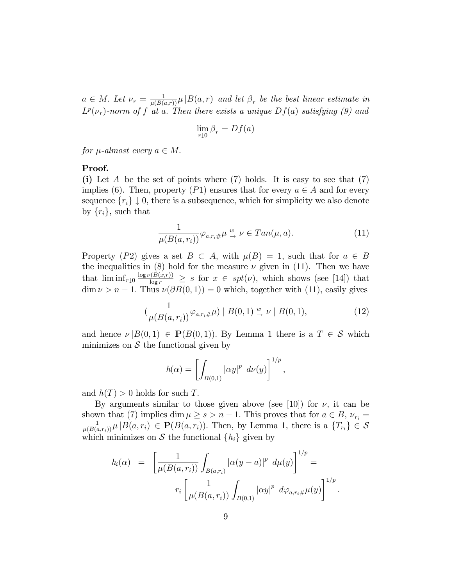$a \in M$ . Let  $\nu_r = \frac{1}{\mu(B(a,r))}\mu |B(a,r)|$  and let  $\beta_r$  be the best linear estimate in  $L^p(\nu_r)$ -norm of f at a. Then there exists a unique  $Df(a)$  satisfying (9) and

$$
\lim_{r \downarrow 0} \beta_r = Df(a)
$$

for  $\mu$ -almost every  $a \in M$ .

### Proof.

(i) Let A be the set of points where  $(7)$  holds. It is easy to see that  $(7)$ implies (6). Then, property (P1) ensures that for every  $a \in A$  and for every sequence  $\{r_i\} \downarrow 0$ , there is a subsequence, which for simplicity we also denote by  $\{r_i\}$ , such that

$$
\frac{1}{\mu(B(a,r_i))} \varphi_{a,r_i \#} \mu \xrightarrow{w} \nu \in Tan(\mu, a). \tag{11}
$$

Property (P2) gives a set  $B \subset A$ , with  $\mu(B) = 1$ , such that for  $a \in B$ the inequalities in  $(8)$  hold for the measure  $\nu$  given in (11). Then we have that  $\liminf_{r\downarrow 0} \frac{\log \nu(B(x,r))}{\log r} \geq s$  for  $x \in spt(\nu)$ , which shows (see [14]) that  $\dim \nu > n - 1$ . Thus  $\nu(\partial B(0, 1)) = 0$  which, together with (11), easily gives

$$
\left(\frac{1}{\mu(B(a,r_i))}\varphi_{a,r_i\#}\mu\right) \mid B(0,1) \stackrel{w}{\rightarrow} \nu \mid B(0,1),\tag{12}
$$

and hence  $\nu |B(0,1) \in \mathbf{P}(B(0,1))$ . By Lemma 1 there is a  $T \in \mathcal{S}$  which minimizes on  $S$  the functional given by

$$
h(\alpha) = \left[ \int_{B(0,1)} |\alpha y|^p \ d\nu(y) \right]^{1/p},
$$

and  $h(T) > 0$  holds for such T.

By arguments similar to those given above (see [10]) for  $\nu$ , it can be shown that (7) implies dim  $\mu \ge s > n - 1$ . This proves that for  $a \in B$ ,  $\nu_{r_i} =$  $\frac{1}{\mu(B(a,r_i))}\mu |B(a,r_i)| \in \mathbf{P}(B(a,r_i)).$  Then, by Lemma 1, there is a  $\{T_{r_i}\} \in \mathcal{S}$ which minimizes on S the functional  $\{h_i\}$  given by

$$
h_i(\alpha) = \left[ \frac{1}{\mu(B(a, r_i))} \int_{B(a, r_i)} |\alpha(y - a)|^p \ d\mu(y) \right]^{1/p} =
$$

$$
r_i \left[ \frac{1}{\mu(B(a, r_i))} \int_{B(0, 1)} |\alpha y|^p \ d\varphi_{a, r_i} \mu(y) \right]^{1/p}
$$

: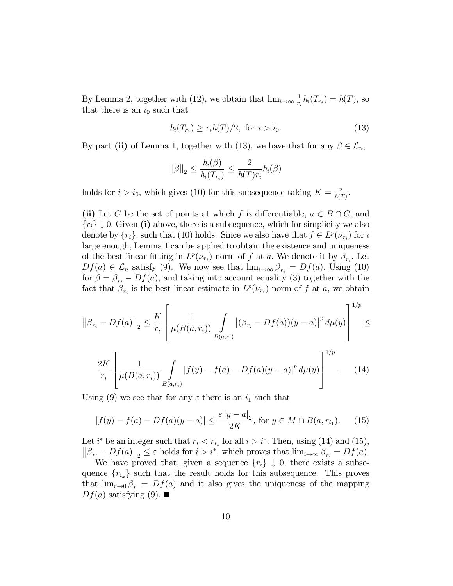By Lemma 2, together with (12), we obtain that  $\lim_{i\to\infty}\frac{1}{r_i}$  $\frac{1}{r_i}h_i(T_{r_i}) = h(T)$ , so that there is an  $i_0$  such that

$$
h_i(T_{r_i}) \ge r_i h(T)/2, \text{ for } i > i_0. \tag{13}
$$

By part (ii) of Lemma 1, together with (13), we have that for any  $\beta \in \mathcal{L}_n$ ,

$$
\|\beta\|_2 \le \frac{h_i(\beta)}{h_i(T_{r_i})} \le \frac{2}{h(T)r_i} h_i(\beta)
$$

holds for  $i > i_0$ , which gives (10) for this subsequence taking  $K = \frac{2}{h(T)}$  $\frac{2}{h(T)}$ .

(ii) Let C be the set of points at which f is differentiable,  $a \in B \cap C$ , and  ${r_i} \downarrow 0$ . Given (i) above, there is a subsequence, which for simplicity we also denote by  $\{r_i\}$ , such that (10) holds. Since we also have that  $f \in L^p(\nu_{r_i})$  for i large enough, Lemma 1 can be applied to obtain the existence and uniqueness of the best linear fitting in  $L^p(\nu_{r_i})$ -norm of f at a. We denote it by  $\beta_{r_i}$ . Let  $Df(a) \in \mathcal{L}_n$  satisfy (9). We now see that  $\lim_{i \to \infty} \beta_{r_i} = Df(a)$ . Using (10) for  $\beta = \beta_{r_i} - Df(a)$ , and taking into account equality (3) together with the fact that  $\beta_{r_i}$  is the best linear estimate in  $L^p(\nu_{r_i})$ -norm of f at a, we obtain

$$
\left\|\beta_{r_i} - Df(a)\right\|_2 \le \frac{K}{r_i} \left[\frac{1}{\mu(B(a, r_i))} \int_{B(a, r_i)} \left|(\beta_{r_i} - Df(a))(y - a)\right|^p d\mu(y)\right]^{1/p} \le
$$

$$
\frac{2K}{r_i} \left[ \frac{1}{\mu(B(a, r_i))} \int\limits_{B(a, r_i)} |f(y) - f(a) - Df(a)(y - a)|^p d\mu(y) \right]^{1/p}.
$$
 (14)

Using (9) we see that for any  $\varepsilon$  there is an  $i_1$  such that

$$
|f(y) - f(a) - Df(a)(y - a)| \le \frac{\varepsilon |y - a|}{2K}, \text{ for } y \in M \cap B(a, r_{i_1}).
$$
 (15)

Let  $i^*$  be an integer such that  $r_i < r_{i_1}$  for all  $i > i^*$ . Then, using (14) and (15),  $\|\beta_{r_i} - Df(a)\|_2 \leq \varepsilon$  holds for  $i > i^*$ , which proves that  $\lim_{i \to \infty} \beta_{r_i} = Df(a)$ .

We have proved that, given a sequence  $\{r_i\} \downarrow 0$ , there exists a subsequence  ${r_{i_k}}$  such that the result holds for this subsequence. This proves that  $\lim_{r\to 0} \beta_r = Df(a)$  and it also gives the uniqueness of the mapping  $Df(a)$  satisfying (9).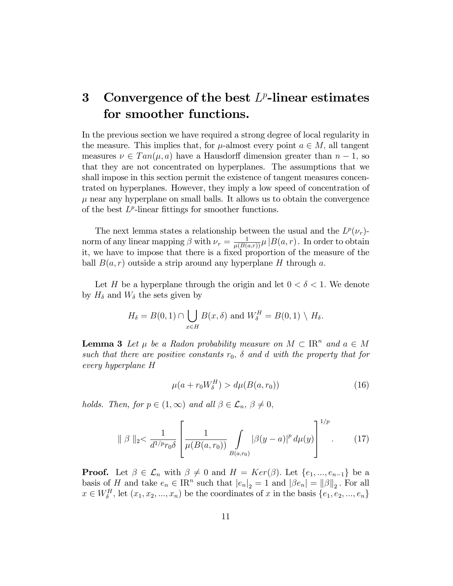## 3 Convergence of the best  $L^p$ -linear estimates for smoother functions.

In the previous section we have required a strong degree of local regularity in the measure. This implies that, for  $\mu$ -almost every point  $a \in M$ , all tangent measures  $\nu \in Tan(\mu, a)$  have a Hausdorff dimension greater than  $n-1$ , so that they are not concentrated on hyperplanes. The assumptions that we shall impose in this section permit the existence of tangent measures concentrated on hyperplanes. However, they imply a low speed of concentration of  $\mu$  near any hyperplane on small balls. It allows us to obtain the convergence of the best  $L^p$ -linear fittings for smoother functions.

The next lemma states a relationship between the usual and the  $L^p(\nu_r)$ norm of any linear mapping  $\beta$  with  $\nu_r = \frac{1}{\mu(B(a,r))}\mu |B(a,r)|$ . In order to obtain it, we have to impose that there is a fixed proportion of the measure of the ball  $B(a, r)$  outside a strip around any hyperplane H through a.

Let H be a hyperplane through the origin and let  $0 < \delta < 1$ . We denote by  $H_{\delta}$  and  $W_{\delta}$  the sets given by

$$
H_{\delta} = B(0,1) \cap \bigcup_{x \in H} B(x,\delta) \text{ and } W_{\delta}^{H} = B(0,1) \setminus H_{\delta}.
$$

**Lemma 3** Let  $\mu$  be a Radon probability measure on  $M \subset \mathbb{R}^n$  and  $a \in M$ such that there are positive constants  $r_0$ ,  $\delta$  and d with the property that for every hyperplane H

$$
\mu(a + r_0 W_\delta^H) > d\mu(B(a, r_0))\tag{16}
$$

holds. Then, for  $p \in (1,\infty)$  and all  $\beta \in \mathcal{L}_n, \beta \neq 0$ ,

$$
\|\beta\|_{2} < \frac{1}{d^{1/p}r_{0}\delta} \left[ \frac{1}{\mu(B(a,r_{0}))} \int\limits_{B(a,r_{0})} |\beta(y-a)|^{p} d\mu(y) \right]^{1/p} . \tag{17}
$$

**Proof.** Let  $\beta \in \mathcal{L}_n$  with  $\beta \neq 0$  and  $H = Ker(\beta)$ . Let  $\{e_1, ..., e_{n-1}\}$  be a basis of H and take  $e_n \in \mathbb{R}^n$  such that  $|e_n|_2 = 1$  and  $|\beta e_n| = ||\beta||_2$ . For all  $x \in W_{\delta}^{H}$ , let  $(x_{1}, x_{2}, ..., x_{n})$  be the coordinates of x in the basis  $\{e_{1}, e_{2}, ..., e_{n}\}$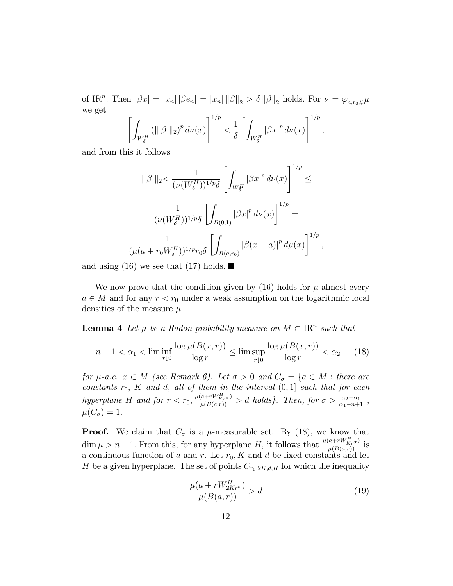of IR<sup>n</sup>. Then  $|\beta x| = |x_n| |\beta e_n| = |x_n| ||\beta||_2 > \delta ||\beta||_2$  holds. For  $\nu = \varphi_{a,r_0\#}\mu$ we get

$$
\left[\int_{W_{\delta}^H} (\|\beta\|_2)^p d\nu(x)\right]^{1/p} < \frac{1}{\delta} \left[\int_{W_{\delta}^H} |\beta x|^p d\nu(x)\right]^{1/p},
$$

and from this it follows

$$
\|\beta\|_{2} < \frac{1}{(\nu(W_{\delta}^{H}))^{1/p}\delta} \left[ \int_{W_{\delta}^{H}} |\beta x|^{p} d\nu(x) \right]^{1/p} \le
$$

$$
\frac{1}{(\nu(W_{\delta}^{H}))^{1/p}\delta} \left[ \int_{B(0,1)} |\beta x|^{p} d\nu(x) \right]^{1/p} =
$$

$$
\frac{1}{(\mu(a+r_{0}W_{\delta}^{H}))^{1/p}r_{0}\delta} \left[ \int_{B(a,r_{0})} |\beta(x-a)|^{p} d\mu(x) \right]^{1/p},
$$

and using (16) we see that (17) holds.

We now prove that the condition given by  $(16)$  holds for  $\mu$ -almost every  $a \in M$  and for any  $r < r_0$  under a weak assumption on the logarithmic local densities of the measure  $\mu$ .

**Lemma 4** Let  $\mu$  be a Radon probability measure on  $M \subset \mathbb{R}^n$  such that

$$
n - 1 < \alpha_1 < \liminf_{r \downarrow 0} \frac{\log \mu(B(x, r))}{\log r} \le \limsup_{r \downarrow 0} \frac{\log \mu(B(x, r))}{\log r} < \alpha_2 \tag{18}
$$

for  $\mu$ -a.e.  $x \in M$  (see Remark 6). Let  $\sigma > 0$  and  $C_{\sigma} = \{a \in M : \text{there are}$ constants  $r_0$ , K and d, all of them in the interval  $(0,1]$  such that for each hyperplane H and for  $r < r_0$ ,  $\frac{\mu(a+rW^H_{Kr\sigma})}{\mu(B(a,r))} > d$  holds}. Then, for  $\sigma > \frac{\alpha_2-\alpha_1}{\alpha_1-n+1}$ ,  $\mu(C_{\sigma}) = 1.$ 

**Proof.** We claim that  $C_{\sigma}$  is a  $\mu$ -measurable set. By (18), we know that  $\dim \mu > n-1$ . From this, for any hyperplane H, it follows that  $\frac{\mu(a+r)W_{Kr\sigma}^{H}}{\mu(B(a,r))}$  is a continuous function of a and r. Let  $r_0$ , K and d be fixed constants and let H be a given hyperplane. The set of points  $C_{r_0,2K,d,H}$  for which the inequality

$$
\frac{\mu(a+rW_{2Kr^{\sigma}}^H)}{\mu(B(a,r))} > d \tag{19}
$$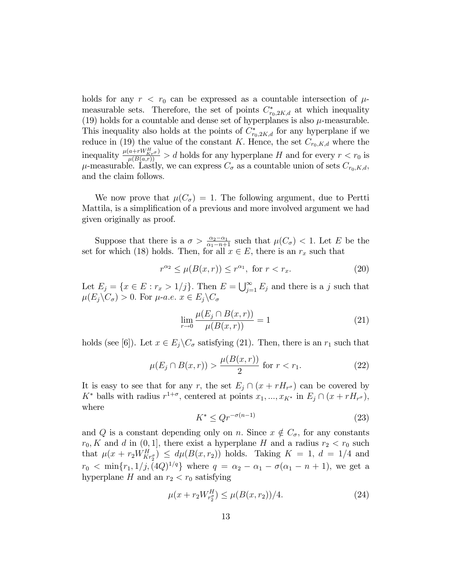holds for any  $r < r_0$  can be expressed as a countable intersection of  $\mu$ measurable sets. Therefore, the set of points  $C^*_{r_0,2K,d}$  at which inequality (19) holds for a countable and dense set of hyperplanes is also  $\mu$ -measurable. This inequality also holds at the points of  $C^*_{r_0,2K,d}$  for any hyperplane if we reduce in (19) the value of the constant K. Hence, the set  $C_{r_0,K,d}$  where the inequality  $\frac{\mu(a+rW_{KT}^H \sigma)}{\mu(B(a,r))} > d$  holds for any hyperplane H and for every  $r < r_0$  is  $\mu$ -measurable. Lastly, we can express  $C_{\sigma}$  as a countable union of sets  $C_{r_0,K,d}$ , and the claim follows:

We now prove that  $\mu(C_{\sigma}) = 1$ . The following argument, due to Pertti Mattila, is a simplification of a previous and more involved argument we had given originally as proof.

Suppose that there is a  $\sigma > \frac{\alpha_2 - \alpha_1}{\alpha_1 - n + 1}$  such that  $\mu(C_{\sigma}) < 1$ . Let E be the set for which (18) holds. Then, for all  $x \in E$ , there is an  $r_x$  such that

$$
r^{\alpha_2} \le \mu(B(x,r)) \le r^{\alpha_1}, \text{ for } r < r_x. \tag{20}
$$

Let  $E_j = \{x \in E : r_x > 1/j\}$ . Then  $E = \bigcup_{j=1}^{\infty} E_j$  and there is a j such that  $\mu(E_i \backslash C_{\sigma}) > 0$ . For  $\mu$ -a.e.  $x \in E_i \backslash C_{\sigma}$ 

$$
\lim_{r \to 0} \frac{\mu(E_j \cap B(x, r))}{\mu(B(x, r))} = 1
$$
\n(21)

holds (see [6]). Let  $x \in E_j \backslash C_{\sigma}$  satisfying (21). Then, there is an  $r_1$  such that

$$
\mu(E_j \cap B(x, r)) > \frac{\mu(B(x, r))}{2} \text{ for } r < r_1. \tag{22}
$$

It is easy to see that for any r, the set  $E_j \cap (x + rH_{r^{\sigma}})$  can be covered by  $K^*$  balls with radius  $r^{1+\sigma}$ , centered at points  $x_1, ..., x_{K^*}$  in  $E_j \cap (x + rH_{r^{\sigma}})$ , where

$$
K^* \le Qr^{-\sigma(n-1)}\tag{23}
$$

and Q is a constant depending only on n. Since  $x \notin C_{\sigma}$ , for any constants  $r_0, K$  and d in  $(0, 1]$ , there exist a hyperplane H and a radius  $r_2 < r_0$  such that  $\mu(x + r_2 W_{K r_2^{\sigma}}^H) \leq d\mu(B(x, r_2))$  holds. Taking  $K = 1, d = 1/4$  and  $r_0 < \min\{r_1, 1/j, (4Q)^{1/q}\}\$  where  $q = \alpha_2 - \alpha_1 - \sigma(\alpha_1 - n + 1)$ , we get a hyperplane H and an  $r_2 < r_0$  satisfying

$$
\mu(x + r_2 W_{r_2^g}^H) \le \mu(B(x, r_2))/4. \tag{24}
$$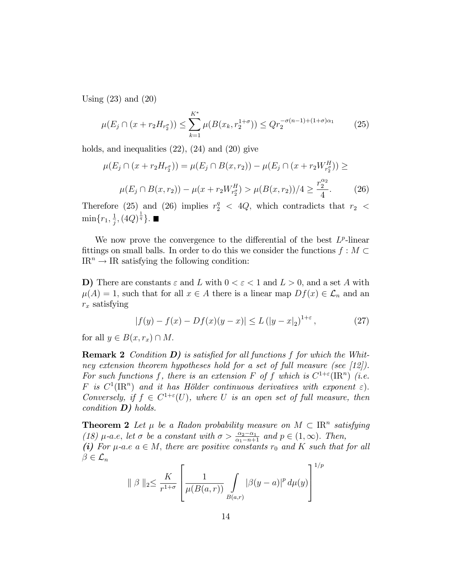Using (23) and (20)

$$
\mu(E_j \cap (x + r_2 H_{r_2^{\sigma}})) \le \sum_{k=1}^{K^*} \mu(B(x_k, r_2^{1+\sigma})) \le Q r_2^{-\sigma(n-1) + (1+\sigma)\alpha_1} \tag{25}
$$

holds, and inequalities (22), (24) and (20) give

$$
\mu(E_j \cap (x + r_2 H_{r_2})) = \mu(E_j \cap B(x, r_2)) - \mu(E_j \cap (x + r_2 W_{r_2}^H)) \ge
$$
  

$$
\mu(E_j \cap B(x, r_2)) - \mu(x + r_2 W_{r_2}^H) > \mu(B(x, r_2))/4 \ge \frac{r_2^{\alpha_2}}{4}.
$$
 (26)

Therefore (25) and (26) implies  $r_2^q$  < 4Q, which contradicts that  $r_2$  <  $\min\{r_1, \frac{1}{j}\}$  $\frac{1}{j}, (4Q)^{\frac{1}{q}}\}.$ 

We now prove the convergence to the differential of the best  $L^p$ -linear fittings on small balls. In order to do this we consider the functions  $f : M \subset$  $IR^n \rightarrow IR$  satisfying the following condition:

D) There are constants  $\varepsilon$  and L with  $0 < \varepsilon < 1$  and  $L > 0$ , and a set A with  $\mu(A) = 1$ , such that for all  $x \in A$  there is a linear map  $Df(x) \in \mathcal{L}_n$  and an  $r_x$  satisfying

$$
|f(y) - f(x) - Df(x)(y - x)| \le L (|y - x|_2)^{1 + \varepsilon}, \tag{27}
$$

for all  $y \in B(x, r_x) \cap M$ .

**Remark 2** Condition  $D$ ) is satisfied for all functions f for which the Whitney extension theorem hypotheses hold for a set of full measure (see [12]). For such functions f, there is an extension F of f which is  $C^{1+\varepsilon}(\mathbb{R}^n)$  (i.e. F is  $C^1(\mathbb{R}^n)$  and it has Hölder continuous derivatives with exponent  $\varepsilon$ ). Conversely, if  $f \in C^{1+\epsilon}(U)$ , where U is an open set of full measure, then condition  $D$ ) holds.

**Theorem 2** Let  $\mu$  be a Radon probability measure on  $M \subset \mathbb{R}^n$  satisfying (18)  $\mu$ -a.e, let  $\sigma$  be a constant with  $\sigma > \frac{\alpha_2 - \alpha_1}{\alpha_1 - n + 1}$  and  $p \in (1, \infty)$ . Then, (i) For  $\mu$ -a.e  $a \in M$ , there are positive constants  $r_0$  and K such that for all  $\beta \in \mathcal{L}_n$ 

$$
\|\beta\|_2 \le \frac{K}{r^{1+\sigma}} \left[ \frac{1}{\mu(B(a,r))} \int\limits_{B(a,r)} |\beta(y-a)|^p d\mu(y) \right]^{1/p}
$$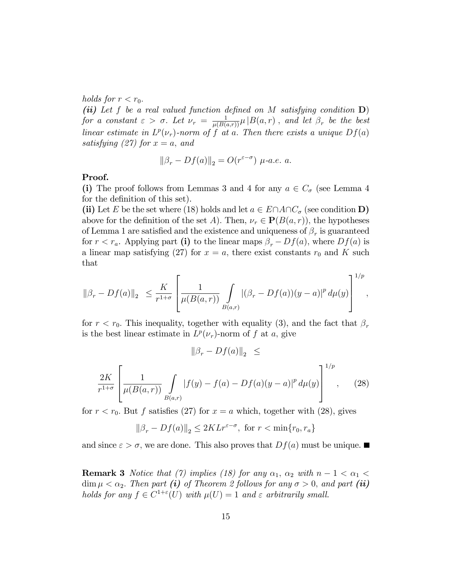holds for  $r < r_0$ .

(ii) Let f be a real valued function defined on M satisfying condition  $\mathbf{D}$ ) for a constant  $\varepsilon > \sigma$ . Let  $\nu_r = \frac{1}{\mu(B(a,r))}\mu |B(a,r)|$ , and let  $\beta_r$  be the best linear estimate in  $L^p(\nu_r)$ -norm of f at a. Then there exists a unique  $Df(a)$ satisfying (27) for  $x = a$ , and

$$
\|\beta_r - Df(a)\|_2 = O(r^{\varepsilon - \sigma}) \ \mu \text{-a.e. a.}
$$

#### Proof.

(i) The proof follows from Lemmas 3 and 4 for any  $a \in C_{\sigma}$  (see Lemma 4 for the definition of this set).

(ii) Let E be the set where (18) holds and let  $a \in E \cap A \cap C_{\sigma}$  (see condition D) above for the definition of the set A). Then,  $\nu_r \in \mathbf{P}(B(a, r))$ , the hypotheses of Lemma 1 are satisfied and the existence and uniqueness of  $\beta_r$  is guaranteed for  $r < r_a$ . Applying part (i) to the linear maps  $\beta_r - Df(a)$ , where  $Df(a)$  is a linear map satisfying (27) for  $x = a$ , there exist constants  $r_0$  and K such that

$$
\|\beta_r - Df(a)\|_2 \leq \frac{K}{r^{1+\sigma}} \left[ \frac{1}{\mu(B(a,r))} \int\limits_{B(a,r)} |(\beta_r - Df(a))(y-a)|^p \, d\mu(y) \right]^{1/p},
$$

for  $r < r_0$ . This inequality, together with equality (3), and the fact that  $\beta_r$ is the best linear estimate in  $L^p(\nu_r)$ -norm of f at a, give

$$
\|\beta_r - Df(a)\|_2 \le
$$
  

$$
\frac{2K}{r^{1+\sigma}} \left[ \frac{1}{\mu(B(a,r))} \int_{B(a,r)} |f(y) - f(a) - Df(a)(y-a)|^p d\mu(y) \right]^{1/p}, \quad (28)
$$

for  $r < r_0$ . But f satisfies (27) for  $x = a$  which, together with (28), gives

$$
\|\beta_r - Df(a)\|_2 \le 2KLr^{\varepsilon-\sigma}, \text{ for } r < \min\{r_0, r_a\}
$$

and since  $\varepsilon > \sigma$ , we are done. This also proves that  $Df(a)$  must be unique.

**Remark 3** Notice that (7) implies (18) for any  $\alpha_1$ ,  $\alpha_2$  with  $n - 1 < \alpha_1 <$  $\dim \mu < \alpha_2$ . Then part (i) of Theorem 2 follows for any  $\sigma > 0$ , and part (ii) holds for any  $f \in C^{1+\varepsilon}(U)$  with  $\mu(U) = 1$  and  $\varepsilon$  arbitrarily small.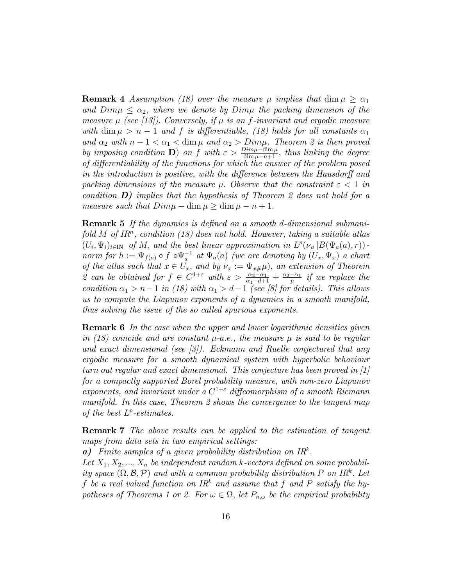**Remark 4** Assumption (18) over the measure  $\mu$  implies that dim  $\mu > \alpha_1$ and  $Dim\mu \leq \alpha_2$ , where we denote by Dim $\mu$  the packing dimension of the measure  $\mu$  (see [13]). Conversely, if  $\mu$  is an f-invariant and ergodic measure with dim  $\mu > n - 1$  and f is differentiable, (18) holds for all constants  $\alpha_1$ and  $\alpha_2$  with  $n - 1 < \alpha_1 < \dim \mu$  and  $\alpha_2 > Dim\mu$ . Theorem 2 is then proved by imposing condition **D**) on f with  $\varepsilon > \frac{Dim\mu-\dim \mu}{\dim \mu-n+1}$ , thus linking the degree of differentiability of the functions for which the answer of the problem posed in the introduction is positive, with the difference between the Hausdorff and packing dimensions of the measure  $\mu$ . Observe that the constraint  $\varepsilon < 1$  in condition  $D$ ) implies that the hypothesis of Theorem 2 does not hold for a measure such that  $Dim\mu - \dim \mu \geq \dim \mu - n + 1$ .

**Remark 5** If the dynamics is defined on a smooth d-dimensional submani $fold M of IR<sup>n</sup>, condition (18) does not hold. However, taking a suitable atlas$  $(U_i, \Psi_i)_{i\in\mathbb{N}}$  of M, and the best linear approximation in  $L^p(\nu_a|B(\Psi_a(a), r))$ . norm for  $h := \Psi_{f(a)} \circ f \circ \Psi_a^{-1}$  at  $\Psi_a(a)$  (we are denoting by  $(U_x, \Psi_x)$  a chart of the atlas such that  $x \in U_x$ , and by  $\nu_x := \Psi_{x\#}\mu$ , an extension of Theorem 2 can be obtained for  $f \in C^{1+\varepsilon}$  with  $\varepsilon > \frac{\alpha_2 - \alpha_1}{\alpha_1 - d + 1} + \frac{\alpha_2 - \alpha_1}{p}$  if we replace the condition  $\alpha_1 > n-1$  in (18) with  $\alpha_1 > d-1$  (see [8] for details). This allows us to compute the Liapunov exponents of a dynamics in a smooth manifold, thus solving the issue of the so called spurious exponents.

Remark 6 In the case when the upper and lower logarithmic densities given in (18) coincide and are constant  $\mu$ -a.e., the measure  $\mu$  is said to be regular and exact dimensional (see  $\lvert \mathcal{S} \rvert$ ). Eckmann and Ruelle conjectured that any ergodic measure for a smooth dynamical system with hyperbolic behaviour turn out regular and exact dimensional. This conjecture has been proved in [1] for a compactly supported Borel probability measure, with non-zero Liapunov exponents, and invariant under a  $C^{1+\epsilon}$  diffeomorphism of a smooth Riemann manifold. In this case, Theorem 2 shows the convergence to the tangent map of the best  $L^p$ -estimates.

Remark 7 The above results can be applied to the estimation of tangent maps from data sets in two empirical settings:

 $a)$  Finite samples of a given probability distribution on IR<sup>k</sup>.

Let  $X_1, X_2, ..., X_n$  be independent random k-vectors defined on some probability space  $(\Omega, \mathcal{B}, \mathcal{P})$  and with a common probability distribution P on IR<sup>k</sup>. Let f be a real valued function on  $IR^k$  and assume that f and P satisfy the hypotheses of Theorems 1 or 2. For  $\omega \in \Omega$ , let  $P_{n,\omega}$  be the empirical probability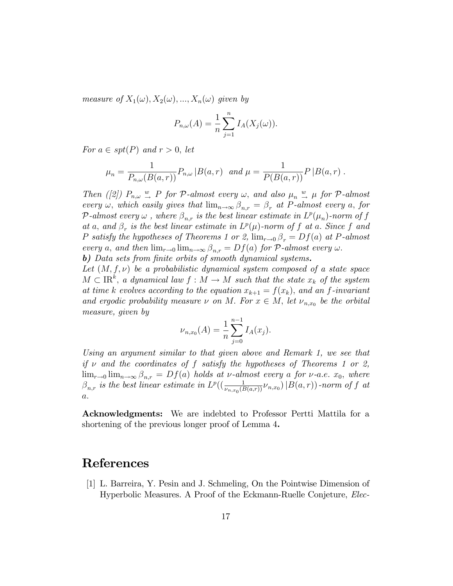measure of  $X_1(\omega), X_2(\omega), ..., X_n(\omega)$  given by

$$
P_{n,\omega}(A) = \frac{1}{n} \sum_{j=1}^{n} I_A(X_j(\omega)).
$$

For  $a \in spt(P)$  and  $r > 0$ , let

$$
\mu_n = \frac{1}{P_{n,\omega}(B(a,r))} P_{n,\omega} |B(a,r) \text{ and } \mu = \frac{1}{P(B(a,r))} P |B(a,r) .
$$

Then ([2])  $P_{n,\omega} \stackrel{w}{\rightarrow} P$  for  $\mathcal{P}\text{-almost every }\omega$ , and also  $\mu_n \stackrel{w}{\rightarrow} \mu$  for  $\mathcal{P}\text{-almost}$ every  $\omega$ , which easily gives that  $\lim_{n\to\infty} \beta_{n,r} = \beta_r$  at P-almost every a, for P-almost every  $\omega$  , where  $\beta_{n,r}$  is the best linear estimate in  $L^p(\mu_n)$ -norm of  $f$ at a, and  $\beta_r$  is the best linear estimate in  $L^p(\mu)$ -norm of f at a. Since f and P satisfy the hypotheses of Theorems 1 or 2,  $\lim_{r\to 0} \beta_r = Df(a)$  at P-almost every a, and then  $\lim_{r\to 0} \lim_{n\to\infty} \beta_{n,r} = Df(a)$  for P-almost every  $\omega$ . b) Data sets from finite orbits of smooth dynamical systems.

Let  $(M, f, \nu)$  be a probabilistic dynamical system composed of a state space  $M \subset \mathbb{R}^k$ , a dynamical law  $f : M \to M$  such that the state  $x_k$  of the system at time k evolves according to the equation  $x_{k+1} = f(x_k)$ , and an f-invariant and ergodic probability measure  $\nu$  on M. For  $x \in M$ , let  $\nu_{n,x_0}$  be the orbital measure, given by

$$
\nu_{n,x_0}(A) = \frac{1}{n} \sum_{j=0}^{n-1} I_A(x_j).
$$

Using an argument similar to that given above and Remark 1, we see that if  $\nu$  and the coordinates of f satisfy the hypotheses of Theorems 1 or 2,  $\lim_{r\to 0} \lim_{n\to\infty} \beta_{n,r} = Df(a)$  holds at  $\nu$ -almost every a for  $\nu$ -a.e.  $x_0$ , where  $\beta_{n,r}$  is the best linear estimate in  $L^p((\frac{1}{\nu_{n,x_0}(B(a,r))}\nu_{n,x_0})|B(a,r))$ -norm of f at  $\overline{a}$ .

Acknowledgments: We are indebted to Professor Pertti Mattila for a shortening of the previous longer proof of Lemma 4.

### References

[1] L. Barreira, Y. Pesin and J. Schmeling, On the Pointwise Dimension of Hyperbolic Measures. A Proof of the Eckmann-Ruelle Conjeture, Elec